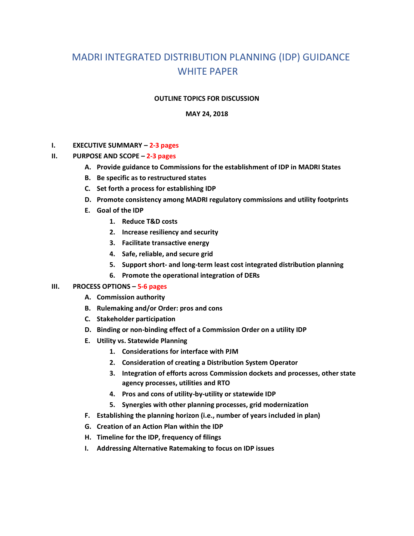# MADRI INTEGRATED DISTRIBUTION PLANNING (IDP) GUIDANCE WHITE PAPER

### **OUTLINE TOPICS FOR DISCUSSION**

#### **MAY 24, 2018**

#### **I. EXECUTIVE SUMMARY – 2-3 pages**

## **II. PURPOSE AND SCOPE – 2-3 pages**

- **A. Provide guidance to Commissions for the establishment of IDP in MADRI States**
- **B. Be specific as to restructured states**
- **C. Set forth a process for establishing IDP**
- **D. Promote consistency among MADRI regulatory commissions and utility footprints**
- **E. Goal of the IDP** 
	- **1. Reduce T&D costs**
	- **2. Increase resiliency and security**
	- **3. Facilitate transactive energy**
	- **4. Safe, reliable, and secure grid**
	- **5. Support short- and long-term least cost integrated distribution planning**
	- **6. Promote the operational integration of DERs**

#### **III. PROCESS OPTIONS – 5-6 pages**

- **A. Commission authority**
- **B. Rulemaking and/or Order: pros and cons**
- **C. Stakeholder participation**
- **D. Binding or non-binding effect of a Commission Order on a utility IDP**
- **E. Utility vs. Statewide Planning** 
	- **1. Considerations for interface with PJM**
	- **2. Consideration of creating a Distribution System Operator**
	- **3. Integration of efforts across Commission dockets and processes, other state agency processes, utilities and RTO**
	- **4. Pros and cons of utility-by-utility or statewide IDP**
	- **5. Synergies with other planning processes, grid modernization**
- **F. Establishing the planning horizon (i.e., number of years included in plan)**
- **G. Creation of an Action Plan within the IDP**
- **H. Timeline for the IDP, frequency of filings**
- **I. Addressing Alternative Ratemaking to focus on IDP issues**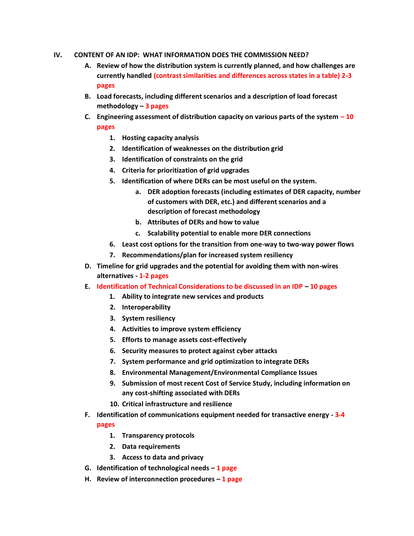- **IV. CONTENT OF AN IDP: WHAT INFORMATION DOES THE COMMISSION NEED?** 
	- **A. Review of how the distribution system is currently planned, and how challenges are currently handled (contrast similarities and differences across states in a table) 2-3 pages**
	- **B. Load forecasts, including different scenarios and a description of load forecast methodology – 3 pages**
	- **C. Engineering assessment of distribution capacity on various parts of the system – 10 pages**
		- **1. Hosting capacity analysis**
		- **2. Identification of weaknesses on the distribution grid**
		- **3. Identification of constraints on the grid**
		- **4. Criteria for prioritization of grid upgrades**
		- **5. Identification of where DERs can be most useful on the system.** 
			- **a. DER adoption forecasts (including estimates of DER capacity, number of customers with DER, etc.) and different scenarios and a description of forecast methodology**
			- **b. Attributes of DERs and how to value**
			- **c. Scalability potential to enable more DER connections**
		- **6. Least cost options for the transition from one-way to two-way power flows**
		- **7. Recommendations/plan for increased system resiliency**
	- **D. Timeline for grid upgrades and the potential for avoiding them with non-wires alternatives - 1-2 pages**
	- **E. Identification of Technical Considerations to be discussed in an IDP – 10 pages**
		- **1. Ability to integrate new services and products**
		- **2. Interoperability**
		- **3. System resiliency**
		- **4. Activities to improve system efficiency**
		- **5. Efforts to manage assets cost-effectively**
		- **6. Security measures to protect against cyber attacks**
		- **7. System performance and grid optimization to integrate DERs**
		- **8. Environmental Management/Environmental Compliance Issues**
		- **9. Submission of most recent Cost of Service Study, including information on any cost-shifting associated with DERs**
		- **10. Critical infrastructure and resilience**
	- **F. Identification of communications equipment needed for transactive energy - 3-4 pages**
		- **1. Transparency protocols**
		- **2. Data requirements**
		- **3. Access to data and privacy**
	- **G. Identification of technological needs – 1 page**
	- **H. Review of interconnection procedures – 1 page**